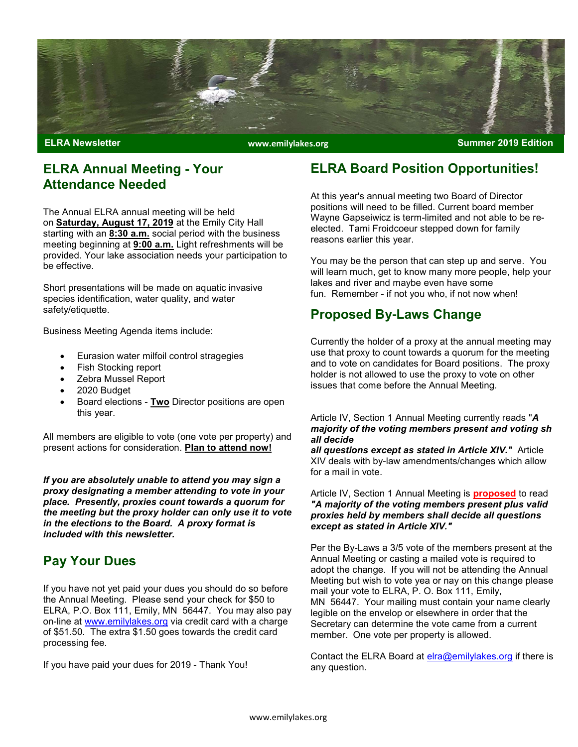

www.emilylakes.org

#### ELRA Annual Meeting - Your Attendance Needed

The Annual ELRA annual meeting will be held on **Saturday, August 17, 2019** at the Emily City Hall starting with an 8:30 a.m. social period with the business meeting beginning at **9:00 a.m.** Light refreshments will be provided. Your lake association needs your participation to be effective.

Short presentations will be made on aquatic invasive species identification, water quality, and water safety/etiquette.

Business Meeting Agenda items include:

- Eurasion water milfoil control stragegies
- Fish Stocking report
- Zebra Mussel Report
- 2020 Budget
- Board elections Two Director positions are open this year.

All members are eligible to vote (one vote per property) and present actions for consideration. Plan to attend now!

If you are absolutely unable to attend you may sign a proxy designating a member attending to vote in your place. Presently, proxies count towards a quorum for the meeting but the proxy holder can only use it to vote in the elections to the Board. A proxy format is included with this newsletter.

## Pay Your Dues

If you have not yet paid your dues you should do so before the Annual Meeting. Please send your check for \$50 to ELRA, P.O. Box 111, Emily, MN 56447. You may also pay on-line at www.emilylakes.org via credit card with a charge of \$51.50. The extra \$1.50 goes towards the credit card processing fee.

If you have paid your dues for 2019 - Thank You!

## ELRA Board Position Opportunities!

At this year's annual meeting two Board of Director positions will need to be filled. Current board member Wayne Gapseiwicz is term-limited and not able to be reelected. Tami Froidcoeur stepped down for family reasons earlier this year.

You may be the person that can step up and serve. You will learn much, get to know many more people, help your lakes and river and maybe even have some fun. Remember - if not you who, if not now when!

## Proposed By-Laws Change

Currently the holder of a proxy at the annual meeting may use that proxy to count towards a quorum for the meeting and to vote on candidates for Board positions. The proxy holder is not allowed to use the proxy to vote on other issues that come before the Annual Meeting.

#### Article IV, Section 1 Annual Meeting currently reads "A majority of the voting members present and voting sh all decide

all questions except as stated in Article XIV." Article XIV deals with by-law amendments/changes which allow for a mail in vote.

#### Article IV, Section 1 Annual Meeting is **proposed** to read "A majority of the voting members present plus valid proxies held by members shall decide all questions except as stated in Article XIV."

Per the By-Laws a 3/5 vote of the members present at the Annual Meeting or casting a mailed vote is required to adopt the change. If you will not be attending the Annual Meeting but wish to vote yea or nay on this change please mail your vote to ELRA, P. O. Box 111, Emily, MN 56447. Your mailing must contain your name clearly legible on the envelop or elsewhere in order that the Secretary can determine the vote came from a current member. One vote per property is allowed.

Contact the ELRA Board at elra@emilylakes.org if there is any question.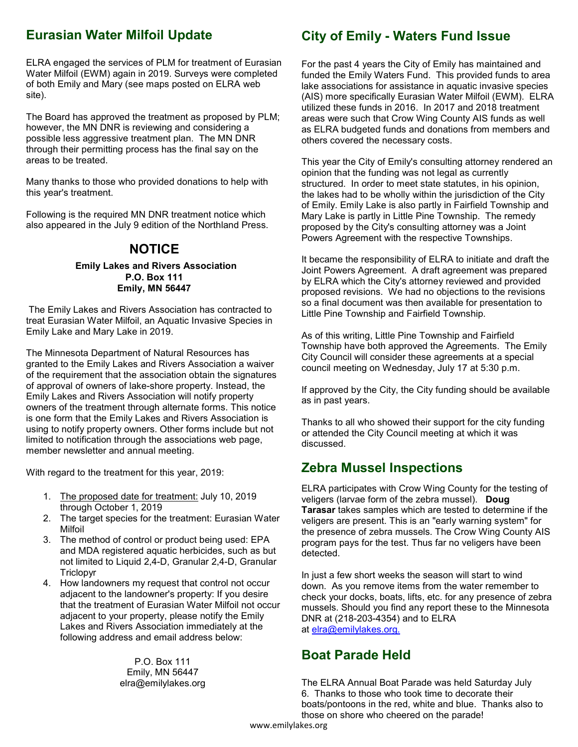## Eurasian Water Milfoil Update

 Water Milfoil (EWM) again in 2019. Surveys were completed ELRA engaged the services of PLM for treatment of Eurasian of both Emily and Mary (see maps posted on ELRA web site).

The Board has approved the treatment as proposed by PLM; however, the MN DNR is reviewing and considering a possible less aggressive treatment plan. The MN DNR through their permitting process has the final say on the areas to be treated.

Many thanks to those who provided donations to help with this year's treatment.

Following is the required MN DNR treatment notice which also appeared in the July 9 edition of the Northland Press.

## **NOTICE**

#### Emily Lakes and Rivers Association P.O. Box 111 Emily, MN 56447

 The Emily Lakes and Rivers Association has contracted to treat Eurasian Water Milfoil, an Aquatic Invasive Species in Emily Lake and Mary Lake in 2019.

The Minnesota Department of Natural Resources has granted to the Emily Lakes and Rivers Association a waiver of the requirement that the association obtain the signatures of approval of owners of lake-shore property. Instead, the Emily Lakes and Rivers Association will notify property owners of the treatment through alternate forms. This notice is one form that the Emily Lakes and Rivers Association is using to notify property owners. Other forms include but not limited to notification through the associations web page, member newsletter and annual meeting.

With regard to the treatment for this year, 2019:

- 1. The proposed date for treatment: July 10, 2019 through October 1, 2019
- 2. The target species for the treatment: Eurasian Water Milfoil
- 3. The method of control or product being used: EPA and MDA registered aquatic herbicides, such as but not limited to Liquid 2,4-D, Granular 2,4-D, Granular **Triclopyr**
- 4. How landowners my request that control not occur adjacent to the landowner's property: If you desire that the treatment of Eurasian Water Milfoil not occur adjacent to your property, please notify the Emily Lakes and Rivers Association immediately at the following address and email address below:

P.O. Box 111 Emily, MN 56447 elra@emilylakes.org

## City of Emily - Waters Fund Issue

For the past 4 years the City of Emily has maintained and funded the Emily Waters Fund. This provided funds to area lake associations for assistance in aquatic invasive species (AIS) more specifically Eurasian Water Milfoil (EWM). ELRA utilized these funds in 2016. In 2017 and 2018 treatment areas were such that Crow Wing County AIS funds as well as ELRA budgeted funds and donations from members and others covered the necessary costs.

This year the City of Emily's consulting attorney rendered an opinion that the funding was not legal as currently structured. In order to meet state statutes, in his opinion, the lakes had to be wholly within the jurisdiction of the City of Emily. Emily Lake is also partly in Fairfield Township and Mary Lake is partly in Little Pine Township. The remedy proposed by the City's consulting attorney was a Joint Powers Agreement with the respective Townships.

It became the responsibility of ELRA to initiate and draft the Joint Powers Agreement. A draft agreement was prepared by ELRA which the City's attorney reviewed and provided proposed revisions. We had no objections to the revisions so a final document was then available for presentation to Little Pine Township and Fairfield Township.

As of this writing, Little Pine Township and Fairfield Township have both approved the Agreements. The Emily City Council will consider these agreements at a special council meeting on Wednesday, July 17 at 5:30 p.m.

If approved by the City, the City funding should be available as in past years.

Thanks to all who showed their support for the city funding or attended the City Council meeting at which it was discussed.

## Zebra Mussel Inspections

ELRA participates with Crow Wing County for the testing of veligers (larvae form of the zebra mussel). Doug Tarasar takes samples which are tested to determine if the veligers are present. This is an "early warning system" for the presence of zebra mussels. The Crow Wing County AIS program pays for the test. Thus far no veligers have been detected.

In just a few short weeks the season will start to wind down. As you remove items from the water remember to check your docks, boats, lifts, etc. for any presence of zebra mussels. Should you find any report these to the Minnesota DNR at (218-203-4354) and to ELRA at elra@emilylakes.org.

## Boat Parade Held

The ELRA Annual Boat Parade was held Saturday July 6. Thanks to those who took time to decorate their boats/pontoons in the red, white and blue. Thanks also to those on shore who cheered on the parade!

www.emilylakes.org